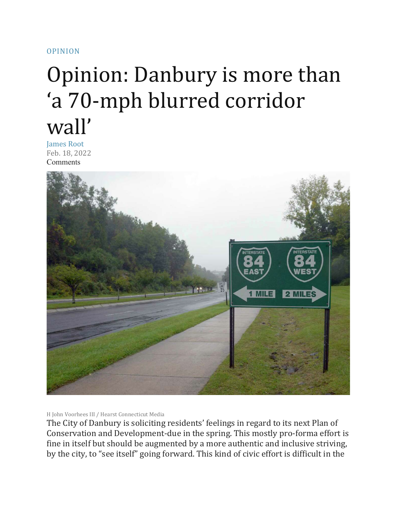## [OPINION](https://www.newstimes.com/opinion/)

## Opinion: Danbury is more than 'a 70-mph blurred corridor wall'

James Root Feb. 18, 2022 [Comments](https://www.newstimes.com/opinion/articleComments/Opinion-Danbury-is-more-than-a-70-mph-blurred-16928756.php)



H John Voorhees III / Hearst Connecticut Media

The City of Danbury is soliciting residents' feelings in regard to its next Plan of Conservation and Development-due in the spring. This mostly pro-forma effort is fine in itself but should be augmented by a more authentic and inclusive striving, by the city, to "see itself" going forward. This kind of civic effort is difficult in the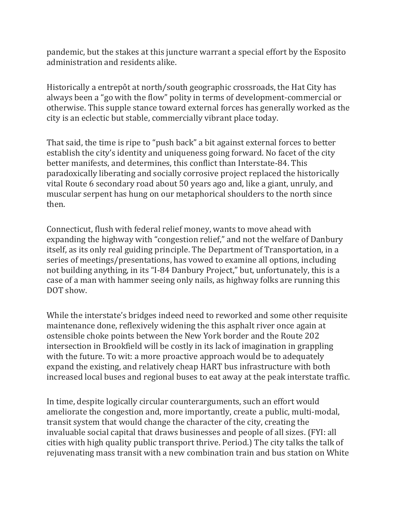pandemic, but the stakes at this juncture warrant a special effort by the Esposito administration and residents alike.

Historically a entrepôt at north/south geographic crossroads, the Hat City has always been a "go with the flow" polity in terms of development-commercial or otherwise. This supple stance toward external forces has generally worked as the city is an eclectic but stable, commercially vibrant place today.

That said, the time is ripe to "push back" a bit against external forces to better establish the city's identity and uniqueness going forward. No facet of the city better manifests, and determines, this conflict than Interstate-84. This paradoxically liberating and socially corrosive project replaced the historically vital Route 6 secondary road about 50 years ago and, like a giant, unruly, and muscular serpent has hung on our metaphorical shoulders to the north since then.

Connecticut, flush with federal relief money, wants to move ahead with expanding the highway with "congestion relief," and not the welfare of Danbury itself, as its only real guiding principle. The Department of Transportation, in a series of meetings/presentations, has vowed to examine all options, including not building anything, in its "I-84 Danbury Project," but, unfortunately, this is a case of a man with hammer seeing only nails, as highway folks are running this DOT show.

While the interstate's bridges indeed need to reworked and some other requisite maintenance done, reflexively widening the this asphalt river once again at ostensible choke points between the New York border and the Route 202 intersection in Brookfield will be costly in its lack of imagination in grappling with the future. To wit: a more proactive approach would be to adequately expand the existing, and relatively cheap HART bus infrastructure with both increased local buses and regional buses to eat away at the peak interstate traffic.

In time, despite logically circular counterarguments, such an effort would ameliorate the congestion and, more importantly, create a public, multi-modal, transit system that would change the character of the city, creating the invaluable social capital that draws businesses and people of all sizes. (FYI: all cities with high quality public transport thrive. Period.) The city talks the talk of rejuvenating mass transit with a new combination train and bus station on White